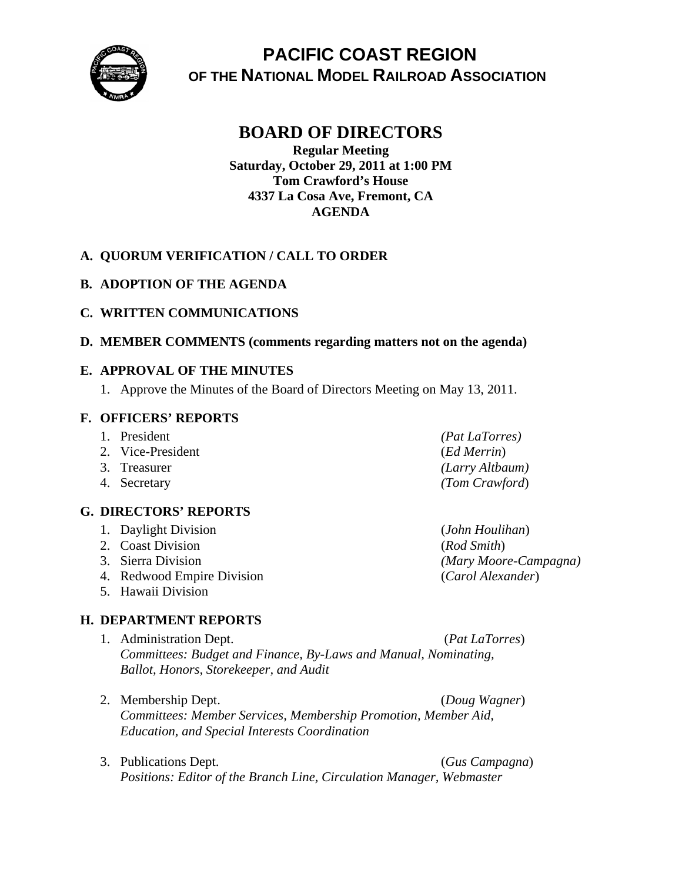

# **PACIFIC COAST REGION OF THE NATIONAL MODEL RAILROAD ASSOCIATION**

## **BOARD OF DIRECTORS**

**Regular Meeting Saturday, October 29, 2011 at 1:00 PM Tom Crawford's House 4337 La Cosa Ave, Fremont, CA AGENDA** 

## **A. QUORUM VERIFICATION / CALL TO ORDER**

#### **B. ADOPTION OF THE AGENDA**

#### **C. WRITTEN COMMUNICATIONS**

#### **D. MEMBER COMMENTS (comments regarding matters not on the agenda)**

#### **E. APPROVAL OF THE MINUTES**

1. Approve the Minutes of the Board of Directors Meeting on May 13, 2011.

#### **F. OFFICERS' REPORTS**

- 
- 2. Vice-President (*Ed Merrin*)
- 
- 

## **G. DIRECTORS' REPORTS**

- 1. Daylight Division (*John Houlihan*)
- 2. Coast Division (*Rod Smith*)
- 
- 4. Redwood Empire Division (*Carol Alexander*)
- 5. Hawaii Division

## **H. DEPARTMENT REPORTS**

- 1. Administration Dept. (*Pat LaTorres*) *Committees: Budget and Finance, By-Laws and Manual, Nominating, Ballot, Honors, Storekeeper, and Audit*
- 2. Membership Dept. (*Doug Wagner*) *Committees: Member Services, Membership Promotion, Member Aid, Education, and Special Interests Coordination*
- 3. Publications Dept. (*Gus Campagna*)

*Positions: Editor of the Branch Line, Circulation Manager, Webmaster* 

1. President *(Pat LaTorres)*  3. Treasurer *(Larry Altbaum)* 4. Secretary *(Tom Crawford*)

3. Sierra Division *(Mary Moore-Campagna)*